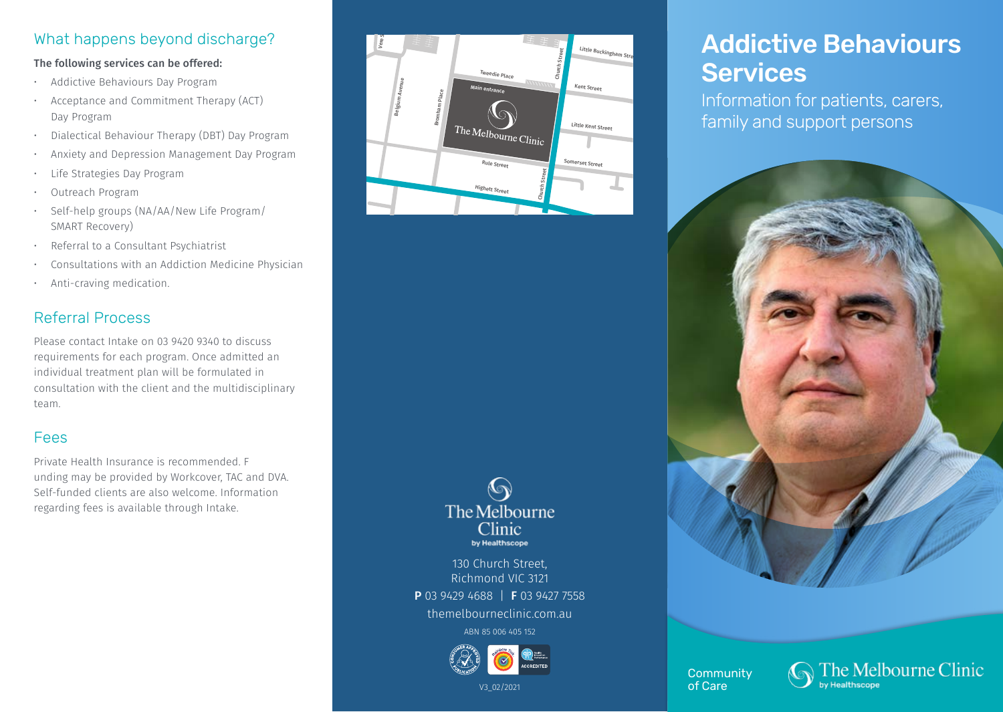## What happens beyond discharge?

#### The following services can be offered:

- Addictive Behaviours Day Program
- Acceptance and Commitment Therapy (ACT) Day Program
- Dialectical Behaviour Therapy (DBT) Day Program
- Anxiety and Depression Management Day Program
- Life Strategies Day Program
- Outreach Program
- Self-help groups (NA/AA/New Life Program/ SMART Recovery)
- Referral to a Consultant Psychiatrist
- Consultations with an Addiction Medicine Physician
- Anti-craving medication.

# Referral Process

Please contact Intake on 03 9420 9340 to discuss requirements for each program. Once admitted an individual treatment plan will be formulated in consultation with the client and the multidisciplinary team.

#### Fees

Private Health Insurance is recommended. F unding may be provided by Workcover, TAC and DVA. Self-funded clients are also welcome. Information regarding fees is available through Intake.



#### $\bigcirc$ The Melbourne Clinic by Healthscope

130 Church Street, Richmond VIC 3121

P 03 9429 4688 | F 03 9427 7558

themelbourneclinic.com.au

ABN 85 006 405 152



#### V3\_02/2021

# Addictive Behaviours **Services**

Information for patients, carers, family and support persons



**Community** of Care